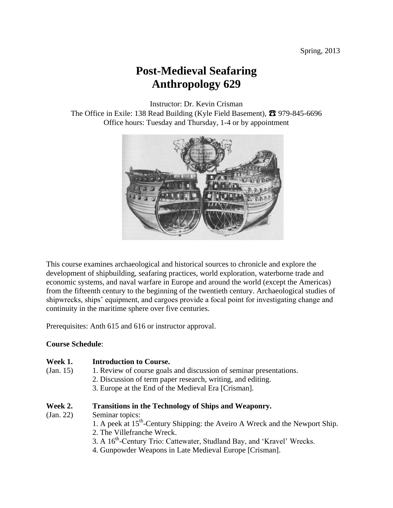# **Post-Medieval Seafaring Anthropology 629**

Instructor: Dr. Kevin Crisman

The Office in Exile: 138 Read Building (Kyle Field Basement), **☎** 979-845-6696 Office hours: Tuesday and Thursday, 1-4 or by appointment



This course examines archaeological and historical sources to chronicle and explore the development of shipbuilding, seafaring practices, world exploration, waterborne trade and economic systems, and naval warfare in Europe and around the world (except the Americas) from the fifteenth century to the beginning of the twentieth century. Archaeological studies of shipwrecks, ships' equipment, and cargoes provide a focal point for investigating change and continuity in the maritime sphere over five centuries.

Prerequisites: Anth 615 and 616 or instructor approval.

### **Course Schedule**:

#### **Week 1. Introduction to Course.**

- (Jan. 15) 1. Review of course goals and discussion of seminar presentations.
	- 2. Discussion of term paper research, writing, and editing.
	- 3. Europe at the End of the Medieval Era [Crisman].

#### **Week 2. Transitions in the Technology of Ships and Weaponry.**

- (Jan. 22) Seminar topics:
	- 1. A peek at 15<sup>th</sup>-Century Shipping: the Aveiro A Wreck and the Newport Ship.
	- 2. The Villefranche Wreck.
	- 3. A 16<sup>th</sup>-Century Trio: Cattewater, Studland Bay, and 'Kravel' Wrecks.
	- 4. Gunpowder Weapons in Late Medieval Europe [Crisman].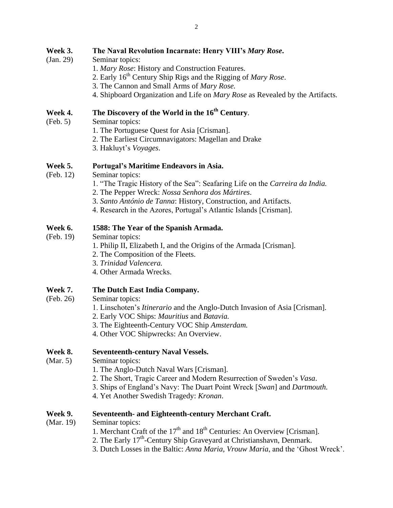- (Jan. 29) Seminar topics:
	- 1. *Mary Rose*: History and Construction Features.
	- 2. Early 16th Century Ship Rigs and the Rigging of *Mary Rose*.
	- 3. The Cannon and Small Arms of *Mary Rose.*
	- 4. Shipboard Organization and Life on *Mary Rose* as Revealed by the Artifacts*.*

## **Week 4. The Discovery of the World in the 16th Century**.

- (Feb. 5) Seminar topics:
	- 1. The Portuguese Quest for Asia [Crisman].
	- 2. The Earliest Circumnavigators: Magellan and Drake
	- 3. Hakluyt's *Voyages*.

## **Week 5. Portugal's Maritime Endeavors in Asia.**

- (Feb. 12) Seminar topics:
	- 1. "The Tragic History of the Sea": Seafaring Life on the *Carreira da India.*
	- 2. The Pepper Wreck: *Nossa Senhora dos Mártires*.
	- 3. *Santo António de Tanna*: History, Construction, and Artifacts.
	- 4. Research in the Azores, Portugal's Atlantic Islands [Crisman].

## **Week 6. 1588: The Year of the Spanish Armada.**

- (Feb. 19) Seminar topics:
	- 1. Philip II, Elizabeth I, and the Origins of the Armada [Crisman].
	- 2. The Composition of the Fleets.
	- 3. *Trinidad Valencera.*
	- 4. Other Armada Wrecks.

## **Week 7. The Dutch East India Company.**

- (Feb. 26) Seminar topics:
	- 1. Linschoten's *Itinerario* and the Anglo-Dutch Invasion of Asia [Crisman].
	- 2. Early VOC Ships: *Mauritius* and *Batavia.*
	- 3. The Eighteenth-Century VOC Ship *Amsterdam.*
	- 4. Other VOC Shipwrecks: An Overview.

## **Week 8. Seventeenth-century Naval Vessels.**

- (Mar. 5) Seminar topics:
	- 1. The Anglo-Dutch Naval Wars [Crisman].
	- 2. The Short, Tragic Career and Modern Resurrection of Sweden's *Vasa*.
	- 3. Ships of England's Navy: The Duart Point Wreck [*Swan*] and *Dartmouth.*
	- 4. Yet Another Swedish Tragedy: *Kronan*.

## **Week 9. Seventeenth- and Eighteenth-century Merchant Craft.**

- (Mar. 19) Seminar topics:
	- 1. Merchant Craft of the  $17<sup>th</sup>$  and  $18<sup>th</sup>$  Centuries: An Overview [Crisman].
	- 2. The Early 17<sup>th</sup>-Century Ship Graveyard at Christianshavn, Denmark.
	- 3. Dutch Losses in the Baltic: *Anna Maria, Vrouw Maria*, and the 'Ghost Wreck'.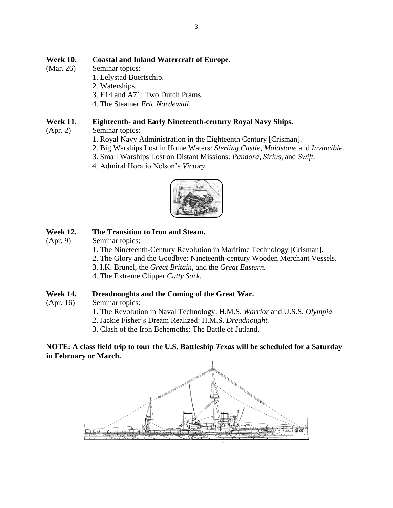## **Week 10. Coastal and Inland Watercraft of Europe.**

- (Mar. 26) Seminar topics:
	- 1. Lelystad Buertschip.
		- 2. Waterships.
		- 3. E14 and A71: Two Dutch Prams.
		- 4. The Steamer *Eric Nordewall*.

## **Week 11. Eighteenth- and Early Nineteenth-century Royal Navy Ships.**

- (Apr. 2) Seminar topics:
	- 1. Royal Navy Administration in the Eighteenth Century [Crisman].
	- 2. Big Warships Lost in Home Waters: *Sterling Castle*, *Maidstone* and *Invincible.*
	- 3. Small Warships Lost on Distant Missions: *Pandora*, *Sirius*, and *Swift.*
	- 4. Admiral Horatio Nelson's *Victory.*



## **Week 12. The Transition to Iron and Steam.**

(Apr. 9) Seminar topics:

- 1. The Nineteenth-Century Revolution in Maritime Technology [Crisman].
- 2. The Glory and the Goodbye: Nineteenth-century Wooden Merchant Vessels.
- 3. I.K. Brunel, the *Great Britain*, and the *Great Eastern.*
- 4. The Extreme Clipper *Cutty Sark.*

### **Week 14. Dreadnoughts and the Coming of the Great War.**

- (Apr. 16) Seminar topics:
	- 1. The Revolution in Naval Technology: H.M.S. *Warrior* and U.S.S. *Olympia*
	- 2. Jackie Fisher's Dream Realized: H.M.S. *Dreadnought.*
	- 3. Clash of the Iron Behemoths: The Battle of Jutland.

### **NOTE: A class field trip to tour the U.S. Battleship** *Texas* **will be scheduled for a Saturday in February or March.**

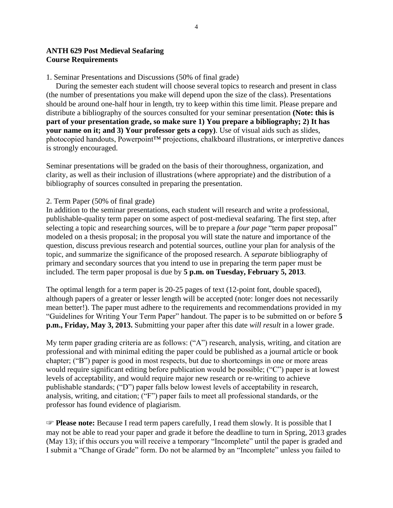### **ANTH 629 Post Medieval Seafaring Course Requirements**

#### 1. Seminar Presentations and Discussions (50% of final grade)

 During the semester each student will choose several topics to research and present in class (the number of presentations you make will depend upon the size of the class). Presentations should be around one-half hour in length, try to keep within this time limit. Please prepare and distribute a bibliography of the sources consulted for your seminar presentation **(Note: this is part of your presentation grade, so make sure 1) You prepare a bibliography; 2) It has your name on it; and 3) Your professor gets a copy)**. Use of visual aids such as slides, photocopied handouts, Powerpoint™ projections, chalkboard illustrations, or interpretive dances is strongly encouraged.

Seminar presentations will be graded on the basis of their thoroughness, organization, and clarity, as well as their inclusion of illustrations (where appropriate) and the distribution of a bibliography of sources consulted in preparing the presentation.

#### 2. Term Paper (50% of final grade)

In addition to the seminar presentations, each student will research and write a professional, publishable-quality term paper on some aspect of post-medieval seafaring. The first step, after selecting a topic and researching sources, will be to prepare a *four page* "term paper proposal" modeled on a thesis proposal; in the proposal you will state the nature and importance of the question, discuss previous research and potential sources, outline your plan for analysis of the topic, and summarize the significance of the proposed research. A *separate* bibliography of primary and secondary sources that you intend to use in preparing the term paper must be included. The term paper proposal is due by **5 p.m. on Tuesday, February 5, 2013**.

The optimal length for a term paper is 20-25 pages of text (12-point font, double spaced), although papers of a greater or lesser length will be accepted (note: longer does not necessarily mean better!). The paper must adhere to the requirements and recommendations provided in my "Guidelines for Writing Your Term Paper" handout. The paper is to be submitted on or before **5 p.m., Friday, May 3, 2013.** Submitting your paper after this date *will result* in a lower grade.

My term paper grading criteria are as follows: ("A") research, analysis, writing, and citation are professional and with minimal editing the paper could be published as a journal article or book chapter; ("B") paper is good in most respects, but due to shortcomings in one or more areas would require significant editing before publication would be possible; ("C") paper is at lowest levels of acceptability, and would require major new research or re-writing to achieve publishable standards; ("D") paper falls below lowest levels of acceptability in research, analysis, writing, and citation; ("F") paper fails to meet all professional standards, or the professor has found evidence of plagiarism.

☞ **Please note:** Because I read term papers carefully, I read them slowly. It is possible that I may not be able to read your paper and grade it before the deadline to turn in Spring, 2013 grades (May 13); if this occurs you will receive a temporary "Incomplete" until the paper is graded and I submit a "Change of Grade" form. Do not be alarmed by an "Incomplete" unless you failed to